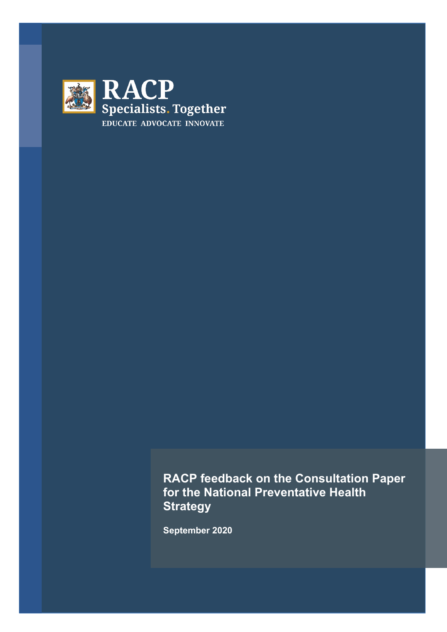

**RACP feedback on the Consultation Paper for the National Preventative Health Strategy** 

**September 2020**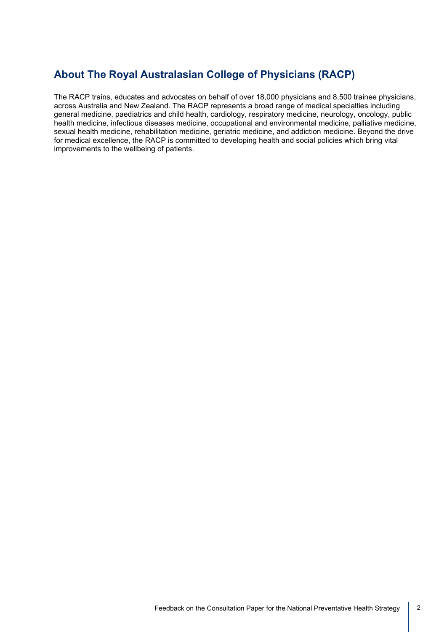# **About The Royal Australasian College of Physicians (RACP)**

The RACP trains, educates and advocates on behalf of over 18,000 physicians and 8,500 trainee physicians, across Australia and New Zealand. The RACP represents a broad range of medical specialties including general medicine, paediatrics and child health, cardiology, respiratory medicine, neurology, oncology, public health medicine, infectious diseases medicine, occupational and environmental medicine, palliative medicine, sexual health medicine, rehabilitation medicine, geriatric medicine, and addiction medicine. Beyond the drive for medical excellence, the RACP is committed to developing health and social policies which bring vital improvements to the wellbeing of patients.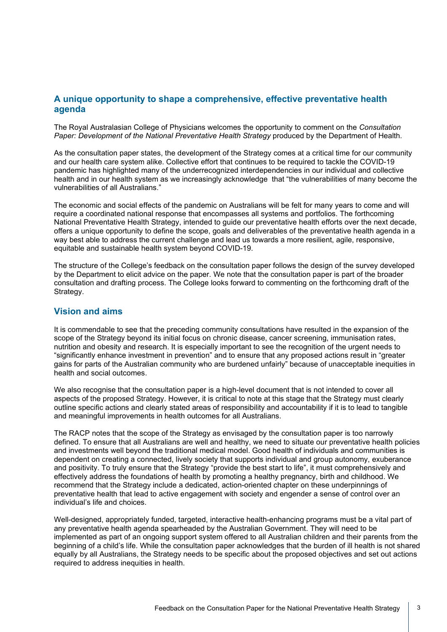## **A unique opportunity to shape a comprehensive, effective preventative health agenda**

The Royal Australasian College of Physicians welcomes the opportunity to comment on the *Consultation Paper: Development of the National Preventative Health Strategy* produced by the Department of Health.

As the consultation paper states, the development of the Strategy comes at a critical time for our community and our health care system alike. Collective effort that continues to be required to tackle the COVID-19 pandemic has highlighted many of the underrecognized interdependencies in our individual and collective health and in our health system as we increasingly acknowledge that "the vulnerabilities of many become the vulnerabilities of all Australians."

The economic and social effects of the pandemic on Australians will be felt for many years to come and will require a coordinated national response that encompasses all systems and portfolios. The forthcoming National Preventative Health Strategy, intended to guide our preventative health efforts over the next decade, offers a unique opportunity to define the scope, goals and deliverables of the preventative health agenda in a way best able to address the current challenge and lead us towards a more resilient, agile, responsive, equitable and sustainable health system beyond COVID-19.

The structure of the College's feedback on the consultation paper follows the design of the survey developed by the Department to elicit advice on the paper. We note that the consultation paper is part of the broader consultation and drafting process. The College looks forward to commenting on the forthcoming draft of the Strategy.

#### **Vision and aims**

It is commendable to see that the preceding community consultations have resulted in the expansion of the scope of the Strategy beyond its initial focus on chronic disease, cancer screening, immunisation rates, nutrition and obesity and research. It is especially important to see the recognition of the urgent needs to "significantly enhance investment in prevention" and to ensure that any proposed actions result in "greater gains for parts of the Australian community who are burdened unfairly" because of unacceptable inequities in health and social outcomes.

We also recognise that the consultation paper is a high-level document that is not intended to cover all aspects of the proposed Strategy. However, it is critical to note at this stage that the Strategy must clearly outline specific actions and clearly stated areas of responsibility and accountability if it is to lead to tangible and meaningful improvements in health outcomes for all Australians.

The RACP notes that the scope of the Strategy as envisaged by the consultation paper is too narrowly defined. To ensure that all Australians are well and healthy, we need to situate our preventative health policies and investments well beyond the traditional medical model. Good health of individuals and communities is dependent on creating a connected, lively society that supports individual and group autonomy, exuberance and positivity. To truly ensure that the Strategy "provide the best start to life", it must comprehensively and effectively address the foundations of health by promoting a healthy pregnancy, birth and childhood. We recommend that the Strategy include a dedicated, action-oriented chapter on these underpinnings of preventative health that lead to active engagement with society and engender a sense of control over an individual's life and choices.

Well-designed, appropriately funded, targeted, interactive health-enhancing programs must be a vital part of any preventative health agenda spearheaded by the Australian Government. They will need to be implemented as part of an ongoing support system offered to all Australian children and their parents from the beginning of a child's life. While the consultation paper acknowledges that the burden of ill health is not shared equally by all Australians, the Strategy needs to be specific about the proposed objectives and set out actions required to address inequities in health.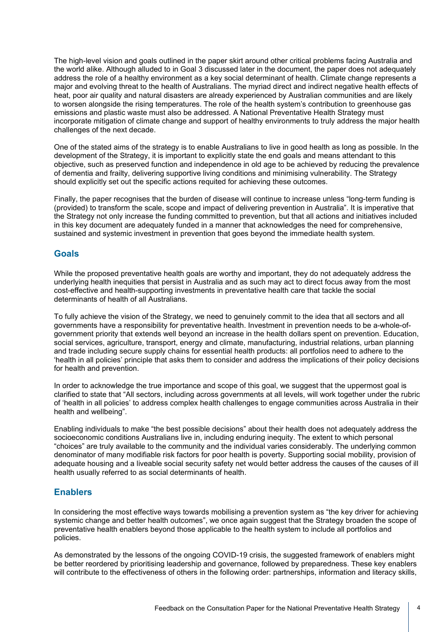The high-level vision and goals outlined in the paper skirt around other critical problems facing Australia and the world alike. Although alluded to in Goal 3 discussed later in the document, the paper does not adequately address the role of a healthy environment as a key social determinant of health. Climate change represents a major and evolving threat to the health of Australians. The myriad direct and indirect negative health effects of heat, poor air quality and natural disasters are already experienced by Australian communities and are likely to worsen alongside the rising temperatures. The role of the health system's contribution to greenhouse gas emissions and plastic waste must also be addressed. A National Preventative Health Strategy must incorporate mitigation of climate change and support of healthy environments to truly address the major health challenges of the next decade.

One of the stated aims of the strategy is to enable Australians to live in good health as long as possible. In the development of the Strategy, it is important to explicitly state the end goals and means attendant to this objective, such as preserved function and independence in old age to be achieved by reducing the prevalence of dementia and frailty, delivering supportive living conditions and minimising vulnerability. The Strategy should explicitly set out the specific actions requited for achieving these outcomes.

Finally, the paper recognises that the burden of disease will continue to increase unless "long-term funding is (provided) to transform the scale, scope and impact of delivering prevention in Australia". It is imperative that the Strategy not only increase the funding committed to prevention, but that all actions and initiatives included in this key document are adequately funded in a manner that acknowledges the need for comprehensive, sustained and systemic investment in prevention that goes beyond the immediate health system.

## **Goals**

While the proposed preventative health goals are worthy and important, they do not adequately address the underlying health inequities that persist in Australia and as such may act to direct focus away from the most cost-effective and health-supporting investments in preventative health care that tackle the social determinants of health of all Australians.

To fully achieve the vision of the Strategy, we need to genuinely commit to the idea that all sectors and all governments have a responsibility for preventative health. Investment in prevention needs to be a-whole-ofgovernment priority that extends well beyond an increase in the health dollars spent on prevention. Education, social services, agriculture, transport, energy and climate, manufacturing, industrial relations, urban planning and trade including secure supply chains for essential health products: all portfolios need to adhere to the 'health in all policies' principle that asks them to consider and address the implications of their policy decisions for health and prevention.

In order to acknowledge the true importance and scope of this goal, we suggest that the uppermost goal is clarified to state that "All sectors, including across governments at all levels, will work together under the rubric of 'health in all policies' to address complex health challenges to engage communities across Australia in their health and wellbeing".

Enabling individuals to make "the best possible decisions" about their health does not adequately address the socioeconomic conditions Australians live in, including enduring inequity. The extent to which personal "choices" are truly available to the community and the individual varies considerably. The underlying common denominator of many modifiable risk factors for poor health is poverty. Supporting social mobility, provision of adequate housing and a liveable social security safety net would better address the causes of the causes of ill health usually referred to as social determinants of health.

## **Enablers**

In considering the most effective ways towards mobilising a prevention system as "the key driver for achieving systemic change and better health outcomes", we once again suggest that the Strategy broaden the scope of preventative health enablers beyond those applicable to the health system to include all portfolios and policies.

As demonstrated by the lessons of the ongoing COVID-19 crisis, the suggested framework of enablers might be better reordered by prioritising leadership and governance, followed by preparedness. These key enablers will contribute to the effectiveness of others in the following order: partnerships, information and literacy skills,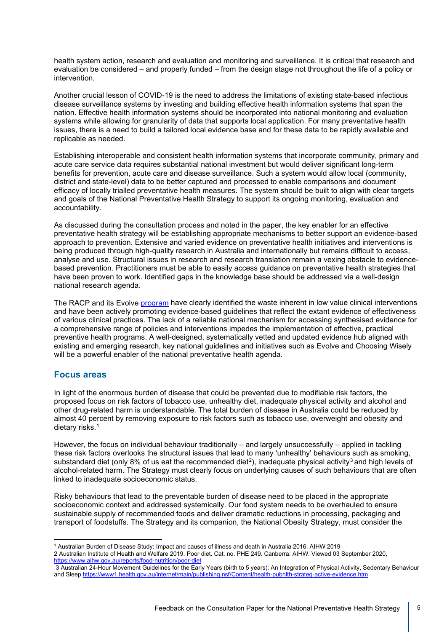health system action, research and evaluation and monitoring and surveillance. It is critical that research and evaluation be considered – and properly funded – from the design stage not throughout the life of a policy or intervention.

Another crucial lesson of COVID-19 is the need to address the limitations of existing state-based infectious disease surveillance systems by investing and building effective health information systems that span the nation. Effective health information systems should be incorporated into national monitoring and evaluation systems while allowing for granularity of data that supports local application. For many preventative health issues, there is a need to build a tailored local evidence base and for these data to be rapidly available and replicable as needed.

Establishing interoperable and consistent health information systems that incorporate community, primary and acute care service data requires substantial national investment but would deliver significant long-term benefits for prevention, acute care and disease surveillance. Such a system would allow local (community, district and state-level) data to be better captured and processed to enable comparisons and document efficacy of locally trialled preventative health measures. The system should be built to align with clear targets and goals of the National Preventative Health Strategy to support its ongoing monitoring, evaluation and accountability.

As discussed during the consultation process and noted in the paper, the key enabler for an effective preventative health strategy will be establishing appropriate mechanisms to better support an evidence-based approach to prevention. Extensive and varied evidence on preventative health initiatives and interventions is being produced through high-quality research in Australia and internationally but remains difficult to access, analyse and use. Structural issues in research and research translation remain a vexing obstacle to evidencebased prevention. Practitioners must be able to easily access guidance on preventative health strategies that have been proven to work. Identified gaps in the knowledge base should be addressed via a well-design national research agenda.

The RACP and its Evolve [program](https://evolve.edu.au/) have clearly identified the waste inherent in low value clinical interventions and have been actively promoting evidence-based guidelines that reflect the extant evidence of effectiveness of various clinical practices. The lack of a reliable national mechanism for accessing synthesised evidence for a comprehensive range of policies and interventions impedes the implementation of effective, practical preventive health programs. A well-designed, systematically vetted and updated evidence hub aligned with existing and emerging research, key national guidelines and initiatives such as Evolve and Choosing Wisely will be a powerful enabler of the national preventative health agenda.

## **Focus areas**

In light of the enormous burden of disease that could be prevented due to modifiable risk factors, the proposed focus on risk factors of tobacco use, unhealthy diet, inadequate physical activity and alcohol and other drug-related harm is understandable. The total burden of disease in Australia could be reduced by almost 40 percent by removing exposure to risk factors such as tobacco use, overweight and obesity and dietary risks.<sup>[1](#page-4-0)</sup>

However, the focus on individual behaviour traditionally – and largely unsuccessfully – applied in tackling these risk factors overlooks the structural issues that lead to many 'unhealthy' behaviours such as smoking, substandard diet (only 8% of us eat the recommended diet<sup>[2](#page-4-1)</sup>), inadequate physical activity<sup>[3](#page-4-2)</sup> and high levels of alcohol-related harm. The Strategy must clearly focus on underlying causes of such behaviours that are often linked to inadequate socioeconomic status.

Risky behaviours that lead to the preventable burden of disease need to be placed in the appropriate socioeconomic context and addressed systemically. Our food system needs to be overhauled to ensure sustainable supply of recommended foods and deliver dramatic reductions in processing, packaging and transport of foodstuffs. The Strategy and its companion, the National Obesity Strategy, must consider the

<sup>1</sup> Australian Burden of Disease Study: Impact and causes of illness and death in Australia 2016. AIHW 2019

<span id="page-4-1"></span><span id="page-4-0"></span><sup>2</sup> Australian Institute of Health and Welfare 2019. Poor diet. Cat. no. PHE 249. Canberra: AIHW. Viewed 03 September 2020, <https://www.aihw.gov.au/reports/food-nutrition/poor-diet>

<span id="page-4-2"></span><sup>3</sup> Australian 24-Hour Movement Guidelines for the Early Years (birth to 5 years): An Integration of Physical Activity, Sedentary Behaviour and Slee[p https://www1.health.gov.au/internet/main/publishing.nsf/Content/health-pubhlth-strateg-active-evidence.htm](https://www1.health.gov.au/internet/main/publishing.nsf/Content/health-pubhlth-strateg-active-evidence.htm)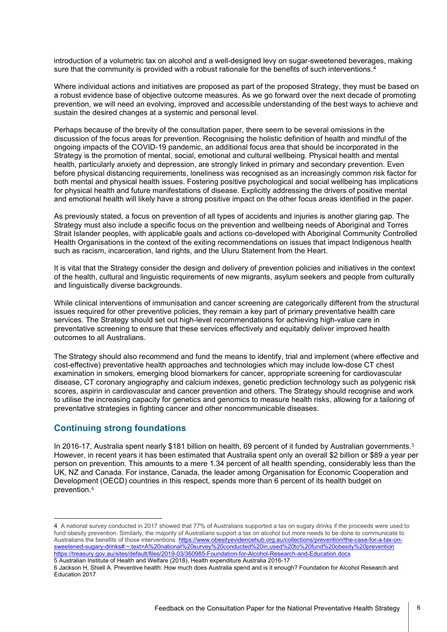introduction of a volumetric tax on alcohol and a well-designed levy on sugar-sweetened beverages, making sure that the community is provided with a robust rationale for the benefits of such interventions.<sup>[4](#page-5-0)</sup>

Where individual actions and initiatives are proposed as part of the proposed Strategy, they must be based on a robust evidence base of objective outcome measures. As we go forward over the next decade of promoting prevention, we will need an evolving, improved and accessible understanding of the best ways to achieve and sustain the desired changes at a systemic and personal level.

Perhaps because of the brevity of the consultation paper, there seem to be several omissions in the discussion of the focus areas for prevention. Recognising the holistic definition of health and mindful of the ongoing impacts of the COVID-19 pandemic, an additional focus area that should be incorporated in the Strategy is the promotion of mental, social, emotional and cultural wellbeing. Physical health and mental health, particularly anxiety and depression, are strongly linked in primary and secondary prevention. Even before physical distancing requirements, loneliness was recognised as an increasingly common risk factor for both mental and physical health issues. Fostering positive psychological and social wellbeing has implications for physical health and future manifestations of disease. Explicitly addressing the drivers of positive mental and emotional health will likely have a strong positive impact on the other focus areas identified in the paper.

As previously stated, a focus on prevention of all types of accidents and injuries is another glaring gap. The Strategy must also include a specific focus on the prevention and wellbeing needs of Aboriginal and Torres Strait Islander peoples, with applicable goals and actions co-developed with Aboriginal Community Controlled Health Organisations in the context of the exiting recommendations on issues that impact Indigenous health such as racism, incarceration, land rights, and the Uluru Statement from the Heart.

It is vital that the Strategy consider the design and delivery of prevention policies and initiatives in the context of the health, cultural and linguistic requirements of new migrants, asylum seekers and people from culturally and linguistically diverse backgrounds.

While clinical interventions of immunisation and cancer screening are categorically different from the structural issues required for other preventive policies, they remain a key part of primary preventative health care services. The Strategy should set out high-level recommendations for achieving high-value care in preventative screening to ensure that these services effectively and equitably deliver improved health outcomes to all Australians.

The Strategy should also recommend and fund the means to identify, trial and implement (where effective and cost-effective) preventative health approaches and technologies which may include low-dose CT chest examination in smokers, emerging blood biomarkers for cancer, appropriate screening for cardiovascular disease, CT coronary angiography and calcium indexes, genetic prediction technology such as polygenic risk scores, aspirin in cardiovascular and cancer prevention and others. The Strategy should recognise and work to utilise the increasing capacity for genetics and genomics to measure health risks, allowing for a tailoring of preventative strategies in fighting cancer and other noncommunicable diseases.

## **Continuing strong foundations**

In 2016-17, Australia spent nearly \$181 billion on health, 69 percent of it funded by Australian governments.<sup>[5](#page-5-1)</sup> However, in recent years it has been estimated that Australia spent only an overall \$2 billion or \$89 a year per person on prevention. This amounts to a mere 1.34 percent of all health spending, considerably less than the UK, NZ and Canada. For instance, Canada, the leader among Organisation for Economic Cooperation and Development (OECD) countries in this respect, spends more than 6 percent of its health budget on prevention.<sup>[6](#page-5-2)</sup>

<span id="page-5-0"></span><sup>4</sup> A national survey conducted in 2017 showed that 77% of Australians supported a tax on sugary drinks if the proceeds were used to fund obesity prevention. Similarly, the majority of Australians support a tax on alcohol but more needs to be done to communicate to Australians the benefits of those interventions. [https://www.obesityevidencehub.org.au/collections/prevention/the-case-for-a-tax-on](https://www.obesityevidencehub.org.au/collections/prevention/the-case-for-a-tax-on-sweetened-sugary-drinks#:%7E:text=A%20national%20survey%20conducted%20in,used%20to%20fund%20obesity%20prevention)[sweetened-sugary-drinks#:~:text=A%20national%20survey%20conducted%20in,used%20to%20fund%20obesity%20prevention](https://www.obesityevidencehub.org.au/collections/prevention/the-case-for-a-tax-on-sweetened-sugary-drinks#:%7E:text=A%20national%20survey%20conducted%20in,used%20to%20fund%20obesity%20prevention) <https://treasury.gov.au/sites/default/files/2019-03/360985-Foundation-for-Alcohol-Research-and-Education.docx> 5 Australian Institute of Health and Welfare (2018), Health expenditure Australia 2016-17

<span id="page-5-2"></span><span id="page-5-1"></span><sup>6</sup> Jackson H, Shiell A. Preventive health: How much does Australia spend and is it enough? Foundation for Alcohol Research and Education 2017